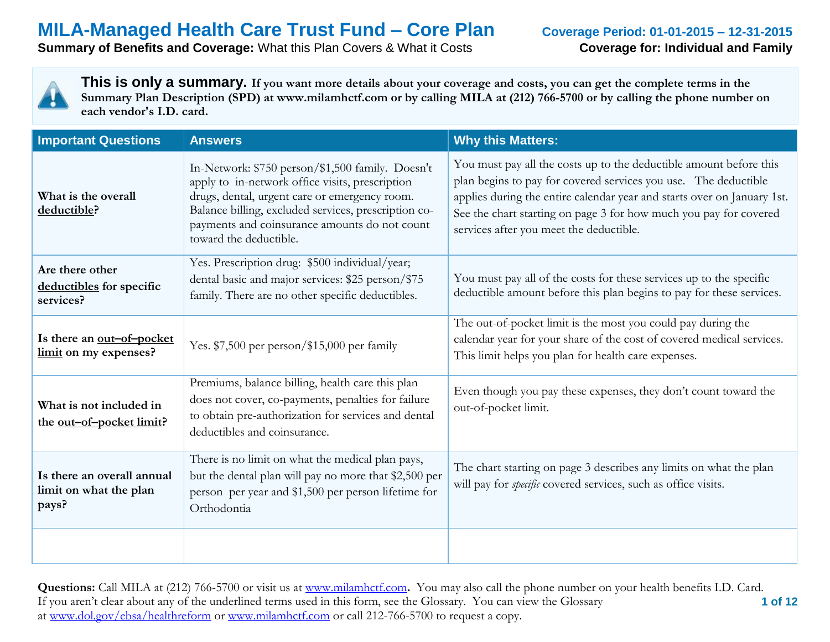### **Summary of Benefits and Coverage:** What this Plan Covers & What it Costs **Coverage for: Individual and Family**



| <b>Important Questions</b>                                    | <b>Answers</b>                                                                                                                                                                                                                                                                          | <b>Why this Matters:</b>                                                                                                                                                                                                                                                                                                         |
|---------------------------------------------------------------|-----------------------------------------------------------------------------------------------------------------------------------------------------------------------------------------------------------------------------------------------------------------------------------------|----------------------------------------------------------------------------------------------------------------------------------------------------------------------------------------------------------------------------------------------------------------------------------------------------------------------------------|
| What is the overall<br>deductible?                            | In-Network: \$750 person/\$1,500 family. Doesn't<br>apply to in-network office visits, prescription<br>drugs, dental, urgent care or emergency room.<br>Balance billing, excluded services, prescription co-<br>payments and coinsurance amounts do not count<br>toward the deductible. | You must pay all the costs up to the deductible amount before this<br>plan begins to pay for covered services you use. The deductible<br>applies during the entire calendar year and starts over on January 1st.<br>See the chart starting on page 3 for how much you pay for covered<br>services after you meet the deductible. |
| Are there other<br>deductibles for specific<br>services?      | Yes. Prescription drug: \$500 individual/year;<br>dental basic and major services: \$25 person/\$75<br>family. There are no other specific deductibles.                                                                                                                                 | You must pay all of the costs for these services up to the specific<br>deductible amount before this plan begins to pay for these services.                                                                                                                                                                                      |
| Is there an out-of-pocket<br>limit on my expenses?            | Yes. \$7,500 per person/\$15,000 per family                                                                                                                                                                                                                                             | The out-of-pocket limit is the most you could pay during the<br>calendar year for your share of the cost of covered medical services.<br>This limit helps you plan for health care expenses.                                                                                                                                     |
| What is not included in<br>the <u>out-of-pocket limit</u> ?   | Premiums, balance billing, health care this plan<br>does not cover, co-payments, penalties for failure<br>to obtain pre-authorization for services and dental<br>deductibles and coinsurance.                                                                                           | Even though you pay these expenses, they don't count toward the<br>out-of-pocket limit.                                                                                                                                                                                                                                          |
| Is there an overall annual<br>limit on what the plan<br>pays? | There is no limit on what the medical plan pays,<br>but the dental plan will pay no more that \$2,500 per<br>person per year and \$1,500 per person lifetime for<br>Orthodontia                                                                                                         | The chart starting on page 3 describes any limits on what the plan<br>will pay for <i>specific</i> covered services, such as office visits.                                                                                                                                                                                      |
|                                                               |                                                                                                                                                                                                                                                                                         |                                                                                                                                                                                                                                                                                                                                  |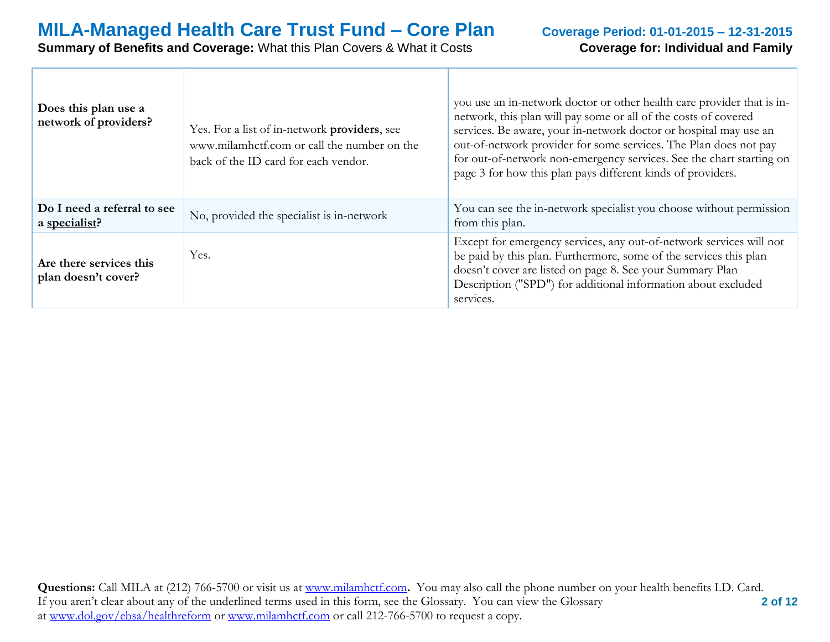# **Summary of Benefits and Coverage:** What this Plan Covers & What it Costs **Coverage for: Individual and Family**

| Does this plan use a<br>network of providers?  | Yes. For a list of in-network providers, see<br>www.milamhctf.com or call the number on the<br>back of the ID card for each vendor. | you use an in-network doctor or other health care provider that is in-<br>network, this plan will pay some or all of the costs of covered<br>services. Be aware, your in-network doctor or hospital may use an<br>out-of-network provider for some services. The Plan does not pay<br>for out-of-network non-emergency services. See the chart starting on<br>page 3 for how this plan pays different kinds of providers. |
|------------------------------------------------|-------------------------------------------------------------------------------------------------------------------------------------|---------------------------------------------------------------------------------------------------------------------------------------------------------------------------------------------------------------------------------------------------------------------------------------------------------------------------------------------------------------------------------------------------------------------------|
| Do I need a referral to see<br>a specialist?   | No, provided the specialist is in-network                                                                                           | You can see the in-network specialist you choose without permission<br>from this plan.                                                                                                                                                                                                                                                                                                                                    |
| Are there services this<br>plan doesn't cover? | Yes.                                                                                                                                | Except for emergency services, any out-of-network services will not<br>be paid by this plan. Furthermore, some of the services this plan<br>doesn't cover are listed on page 8. See your Summary Plan<br>Description ("SPD") for additional information about excluded<br>services.                                                                                                                                       |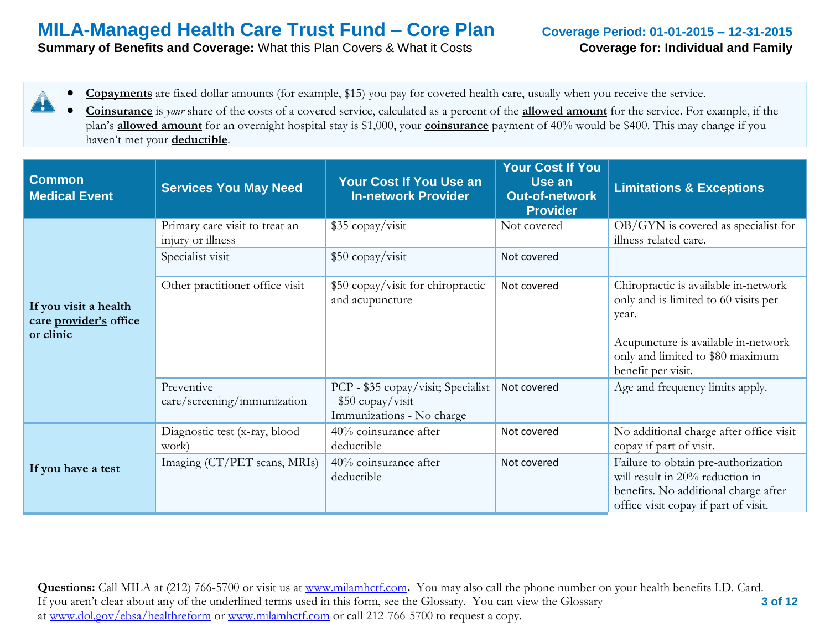**Summary of Benefits and Coverage:** What this Plan Covers & What it Costs **Coverage for: Individual and Family** 

- **Copayments** are fixed dollar amounts (for example, \$15) you pay for covered health care, usually when you receive the service. 4
	- **Coinsurance** is *your* share of the costs of a covered service, calculated as a percent of the **allowed amount** for the service. For example, if the plan's **allowed amount** for an overnight hospital stay is \$1,000, your **coinsurance** payment of 40% would be \$400. This may change if you haven't met your **deductible**.

| <b>Common</b><br><b>Medical Event</b>                        | <b>Services You May Need</b>                        | Your Cost If You Use an<br><b>In-network Provider</b>                                 | <b>Your Cost If You</b><br>Use an<br><b>Out-of-network</b><br><b>Provider</b> | <b>Limitations &amp; Exceptions</b>                                                                                                                                                    |
|--------------------------------------------------------------|-----------------------------------------------------|---------------------------------------------------------------------------------------|-------------------------------------------------------------------------------|----------------------------------------------------------------------------------------------------------------------------------------------------------------------------------------|
|                                                              | Primary care visit to treat an<br>injury or illness | \$35 copay/visit                                                                      | Not covered                                                                   | OB/GYN is covered as specialist for<br>illness-related care.                                                                                                                           |
|                                                              | Specialist visit                                    | \$50 copay/visit                                                                      | Not covered                                                                   |                                                                                                                                                                                        |
| If you visit a health<br>care provider's office<br>or clinic | Other practitioner office visit                     | \$50 copay/visit for chiropractic<br>and acupuncture                                  | Not covered                                                                   | Chiropractic is available in-network<br>only and is limited to 60 visits per<br>year.<br>Acupuncture is available in-network<br>only and limited to \$80 maximum<br>benefit per visit. |
|                                                              | Preventive<br>care/screening/immunization           | PCP - \$35 copay/visit; Specialist<br>- \$50 copay/visit<br>Immunizations - No charge | Not covered                                                                   | Age and frequency limits apply.                                                                                                                                                        |
|                                                              | Diagnostic test (x-ray, blood<br>work)              | 40% coinsurance after<br>deductible                                                   | Not covered                                                                   | No additional charge after office visit<br>copay if part of visit.                                                                                                                     |
| If you have a test                                           | Imaging (CT/PET scans, MRIs)                        | 40% coinsurance after<br>deductible                                                   | Not covered                                                                   | Failure to obtain pre-authorization<br>will result in 20% reduction in<br>benefits. No additional charge after<br>office visit copay if part of visit.                                 |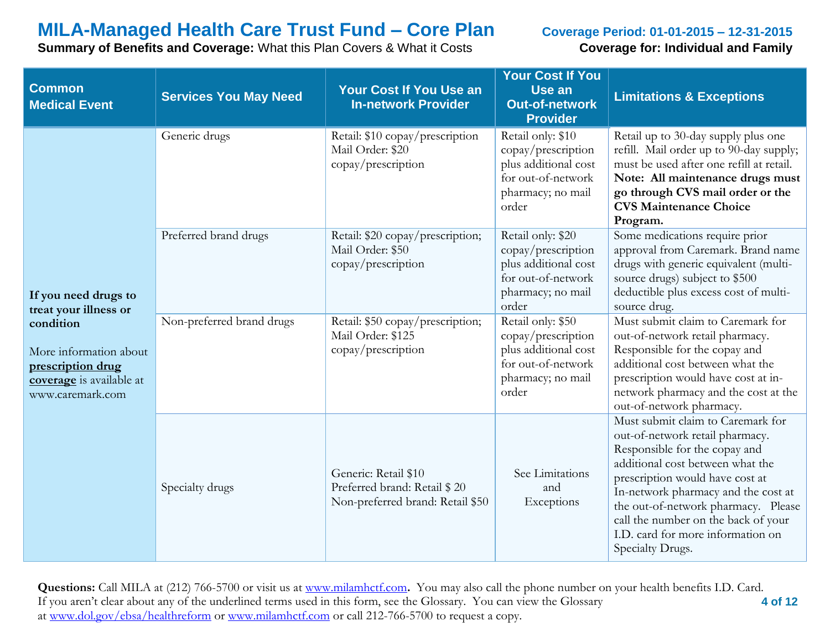**Summary of Benefits and Coverage:** What this Plan Covers & What it Costs **Coverage for: Individual and Family** 

| <b>Common</b><br><b>Medical Event</b>                                                                    | <b>Services You May Need</b> | <b>Your Cost If You Use an</b><br><b>In-network Provider</b>                             | <b>Your Cost If You</b><br>Use an<br><b>Out-of-network</b><br><b>Provider</b>                                       | <b>Limitations &amp; Exceptions</b>                                                                                                                                                                                                                                                                                                                        |
|----------------------------------------------------------------------------------------------------------|------------------------------|------------------------------------------------------------------------------------------|---------------------------------------------------------------------------------------------------------------------|------------------------------------------------------------------------------------------------------------------------------------------------------------------------------------------------------------------------------------------------------------------------------------------------------------------------------------------------------------|
|                                                                                                          | Generic drugs                | Retail: \$10 copay/prescription<br>Mail Order: \$20<br>copay/prescription                | Retail only: \$10<br>copay/prescription<br>plus additional cost<br>for out-of-network<br>pharmacy; no mail<br>order | Retail up to 30-day supply plus one<br>refill. Mail order up to 90-day supply;<br>must be used after one refill at retail.<br>Note: All maintenance drugs must<br>go through CVS mail order or the<br><b>CVS Maintenance Choice</b><br>Program.                                                                                                            |
| If you need drugs to<br>treat your illness or                                                            | Preferred brand drugs        | Retail: \$20 copay/prescription;<br>Mail Order: \$50<br>copay/prescription               | Retail only: \$20<br>copay/prescription<br>plus additional cost<br>for out-of-network<br>pharmacy; no mail<br>order | Some medications require prior<br>approval from Caremark. Brand name<br>drugs with generic equivalent (multi-<br>source drugs) subject to \$500<br>deductible plus excess cost of multi-<br>source drug.                                                                                                                                                   |
| condition<br>More information about<br>prescription drug<br>coverage is available at<br>www.caremark.com | Non-preferred brand drugs    | Retail: \$50 copay/prescription;<br>Mail Order: \$125<br>copay/prescription              | Retail only: \$50<br>copay/prescription<br>plus additional cost<br>for out-of-network<br>pharmacy; no mail<br>order | Must submit claim to Caremark for<br>out-of-network retail pharmacy.<br>Responsible for the copay and<br>additional cost between what the<br>prescription would have cost at in-<br>network pharmacy and the cost at the<br>out-of-network pharmacy.                                                                                                       |
|                                                                                                          | Specialty drugs              | Generic: Retail \$10<br>Preferred brand: Retail \$20<br>Non-preferred brand: Retail \$50 | See Limitations<br>and<br>Exceptions                                                                                | Must submit claim to Caremark for<br>out-of-network retail pharmacy.<br>Responsible for the copay and<br>additional cost between what the<br>prescription would have cost at<br>In-network pharmacy and the cost at<br>the out-of-network pharmacy. Please<br>call the number on the back of your<br>I.D. card for more information on<br>Specialty Drugs. |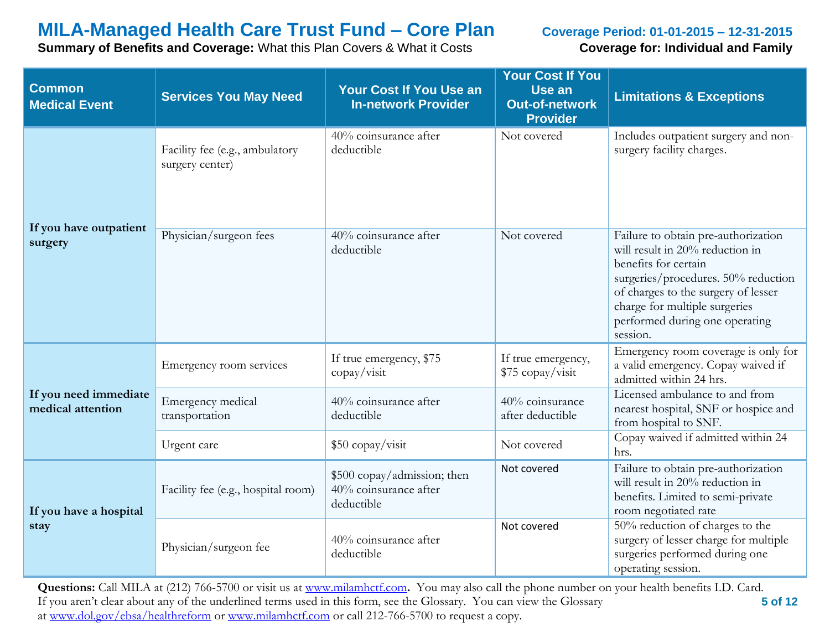**Summary of Benefits and Coverage:** What this Plan Covers & What it Costs **Coverage for: Individual and Family** 

| <b>Common</b><br><b>Medical Event</b>      | <b>Services You May Need</b>                      | <b>Your Cost If You Use an</b><br><b>In-network Provider</b>       | <b>Your Cost If You</b><br>Use an<br><b>Out-of-network</b><br><b>Provider</b> | <b>Limitations &amp; Exceptions</b>                                                                                                                                                                                                                         |
|--------------------------------------------|---------------------------------------------------|--------------------------------------------------------------------|-------------------------------------------------------------------------------|-------------------------------------------------------------------------------------------------------------------------------------------------------------------------------------------------------------------------------------------------------------|
|                                            | Facility fee (e.g., ambulatory<br>surgery center) | 40% coinsurance after<br>deductible                                | Not covered                                                                   | Includes outpatient surgery and non-<br>surgery facility charges.                                                                                                                                                                                           |
| If you have outpatient<br>surgery          | Physician/surgeon fees                            | 40% coinsurance after<br>deductible                                | Not covered                                                                   | Failure to obtain pre-authorization<br>will result in 20% reduction in<br>benefits for certain<br>surgeries/procedures. 50% reduction<br>of charges to the surgery of lesser<br>charge for multiple surgeries<br>performed during one operating<br>session. |
|                                            | Emergency room services                           | If true emergency, \$75<br>$\text{copy}/\text{visit}$              | If true emergency,<br>\$75 copay/visit                                        | Emergency room coverage is only for<br>a valid emergency. Copay waived if<br>admitted within 24 hrs.                                                                                                                                                        |
| If you need immediate<br>medical attention | Emergency medical<br>transportation               | 40% coinsurance after<br>deductible                                | 40% coinsurance<br>after deductible                                           | Licensed ambulance to and from<br>nearest hospital, SNF or hospice and<br>from hospital to SNF.                                                                                                                                                             |
|                                            | Urgent care                                       | \$50 copay/visit                                                   | Not covered                                                                   | Copay waived if admitted within 24<br>hrs.                                                                                                                                                                                                                  |
| If you have a hospital                     | Facility fee (e.g., hospital room)                | \$500 copay/admission; then<br>40% coinsurance after<br>deductible | Not covered                                                                   | Failure to obtain pre-authorization<br>will result in 20% reduction in<br>benefits. Limited to semi-private<br>room negotiated rate                                                                                                                         |
| stay                                       | Physician/surgeon fee                             | 40% coinsurance after<br>deductible                                | Not covered                                                                   | 50% reduction of charges to the<br>surgery of lesser charge for multiple<br>surgeries performed during one<br>operating session.                                                                                                                            |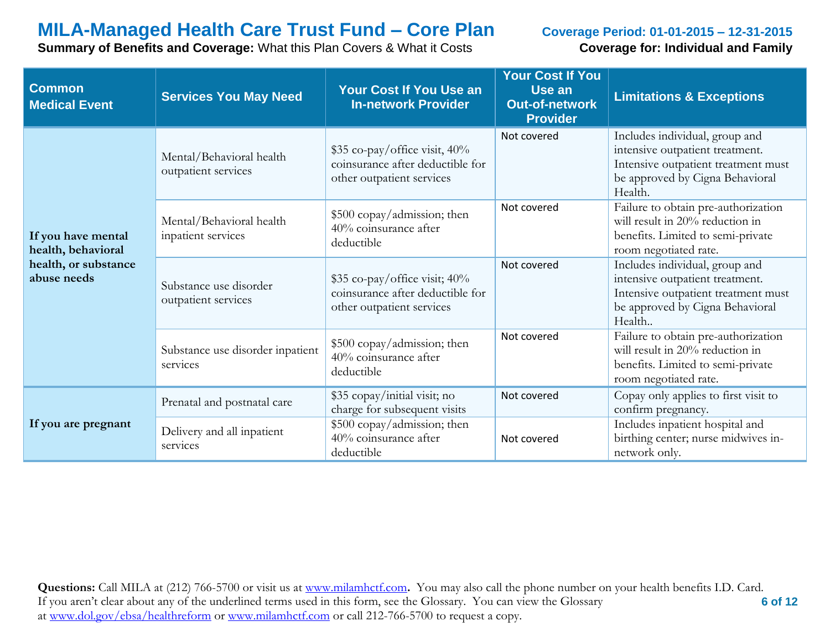**Summary of Benefits and Coverage:** What this Plan Covers & What it Costs **Coverage for: Individual and Family** 

| <b>Common</b><br><b>Medical Event</b>    | <b>Services You May Need</b>                    | Your Cost If You Use an<br><b>In-network Provider</b>                                                             | <b>Your Cost If You</b><br>Use an<br><b>Out-of-network</b><br><b>Provider</b>                                                                       | <b>Limitations &amp; Exceptions</b>                                                                                                                    |
|------------------------------------------|-------------------------------------------------|-------------------------------------------------------------------------------------------------------------------|-----------------------------------------------------------------------------------------------------------------------------------------------------|--------------------------------------------------------------------------------------------------------------------------------------------------------|
|                                          | Mental/Behavioral health<br>outpatient services | \$35 co-pay/office visit, 40%<br>coinsurance after deductible for<br>other outpatient services                    | Not covered                                                                                                                                         | Includes individual, group and<br>intensive outpatient treatment.<br>Intensive outpatient treatment must<br>be approved by Cigna Behavioral<br>Health. |
| If you have mental<br>health, behavioral | Mental/Behavioral health<br>inpatient services  | \$500 copay/admission; then<br>$40\%$ coinsurance after<br>deductible                                             | Failure to obtain pre-authorization<br>Not covered<br>will result in 20% reduction in<br>benefits. Limited to semi-private<br>room negotiated rate. |                                                                                                                                                        |
| health, or substance<br>abuse needs      | Substance use disorder<br>outpatient services   | Not covered<br>$$35$ co-pay/office visit; $40\%$<br>coinsurance after deductible for<br>other outpatient services |                                                                                                                                                     | Includes individual, group and<br>intensive outpatient treatment.<br>Intensive outpatient treatment must<br>be approved by Cigna Behavioral<br>Health  |
|                                          | Substance use disorder inpatient<br>services    | \$500 copay/admission; then<br>40% coinsurance after<br>deductible                                                | Not covered                                                                                                                                         | Failure to obtain pre-authorization<br>will result in 20% reduction in<br>benefits. Limited to semi-private<br>room negotiated rate.                   |
|                                          | Prenatal and postnatal care                     | \$35 copay/initial visit; no<br>charge for subsequent visits                                                      | Not covered                                                                                                                                         | Copay only applies to first visit to<br>confirm pregnancy.                                                                                             |
| If you are pregnant                      | Delivery and all inpatient<br>services          | \$500 copay/admission; then<br>40% coinsurance after<br>deductible                                                | Not covered                                                                                                                                         | Includes inpatient hospital and<br>birthing center; nurse midwives in-<br>network only.                                                                |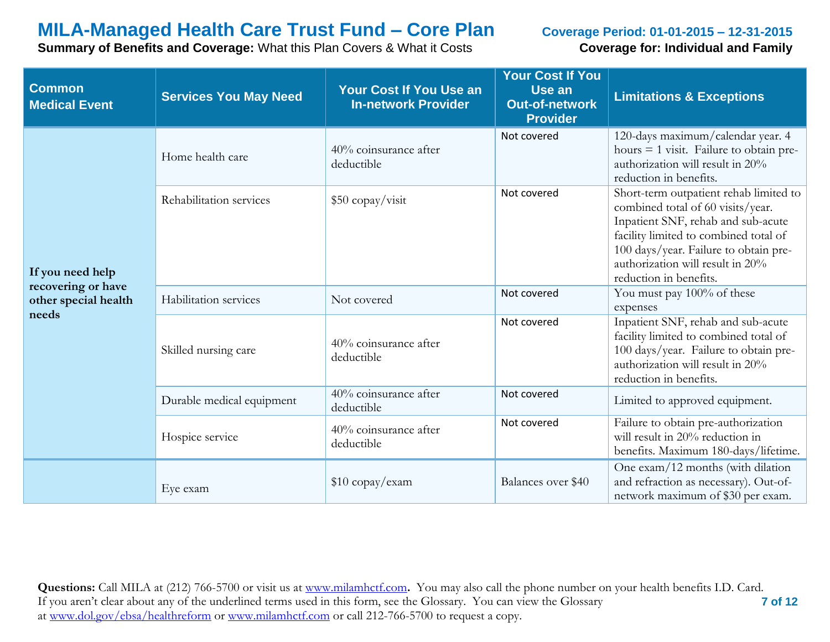**Summary of Benefits and Coverage:** What this Plan Covers & What it Costs **Coverage for: Individual and Family** 

| <b>Common</b><br><b>Medical Event</b>      | <b>Services You May Need</b> | Your Cost If You Use an<br><b>In-network Provider</b> | <b>Your Cost If You</b><br>Use an<br><b>Out-of-network</b><br><b>Provider</b> | <b>Limitations &amp; Exceptions</b>                                                                                                                                                                                                                               |
|--------------------------------------------|------------------------------|-------------------------------------------------------|-------------------------------------------------------------------------------|-------------------------------------------------------------------------------------------------------------------------------------------------------------------------------------------------------------------------------------------------------------------|
|                                            | Home health care             | 40% coinsurance after<br>deductible                   | Not covered                                                                   | 120-days maximum/calendar year. 4<br>hours $= 1$ visit. Failure to obtain pre-<br>authorization will result in 20%<br>reduction in benefits.                                                                                                                      |
| If you need help                           | Rehabilitation services      | \$50 copay/visit                                      | Not covered                                                                   | Short-term outpatient rehab limited to<br>combined total of 60 visits/year.<br>Inpatient SNF, rehab and sub-acute<br>facility limited to combined total of<br>100 days/year. Failure to obtain pre-<br>authorization will result in 20%<br>reduction in benefits. |
| recovering or have<br>other special health | Habilitation services        | Not covered                                           | Not covered                                                                   | You must pay 100% of these<br>expenses                                                                                                                                                                                                                            |
| needs                                      | Skilled nursing care         | 40% coinsurance after<br>deductible                   | Not covered                                                                   | Inpatient SNF, rehab and sub-acute<br>facility limited to combined total of<br>100 days/year. Failure to obtain pre-<br>authorization will result in 20%<br>reduction in benefits.                                                                                |
|                                            | Durable medical equipment    | 40% coinsurance after<br>deductible                   | Not covered                                                                   | Limited to approved equipment.                                                                                                                                                                                                                                    |
|                                            | Hospice service              | 40% coinsurance after<br>deductible                   | Not covered                                                                   | Failure to obtain pre-authorization<br>will result in 20% reduction in<br>benefits. Maximum 180-days/lifetime.                                                                                                                                                    |
|                                            | Eye exam                     | $$10$ copay/exam                                      | Balances over \$40                                                            | One exam/12 months (with dilation<br>and refraction as necessary). Out-of-<br>network maximum of \$30 per exam.                                                                                                                                                   |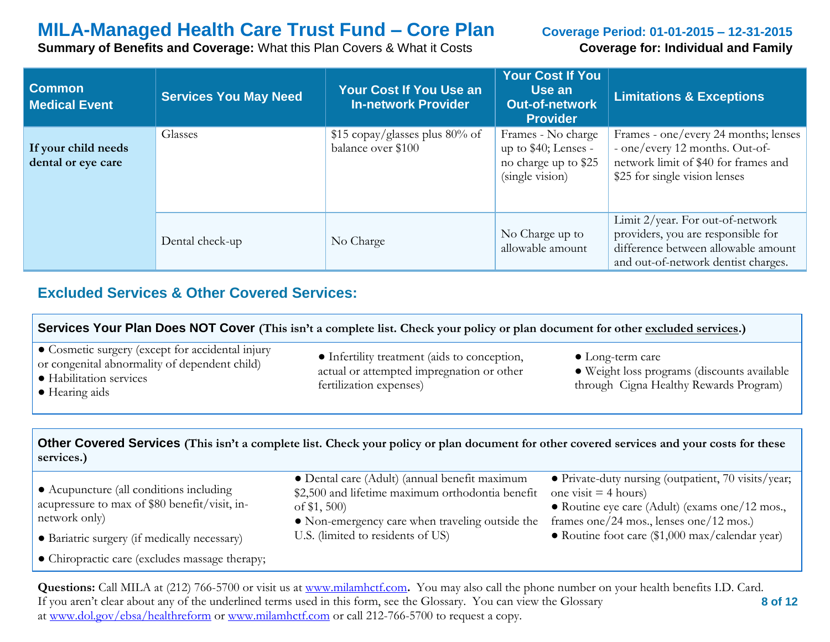**Summary of Benefits and Coverage:** What this Plan Covers & What it Costs **Coverage for: Individual and Family** 

| <b>Common</b><br><b>Medical Event</b>     | <b>Services You May Need</b> | <b>Your Cost If You Use an</b><br><b>In-network Provider</b> | <b>Your Cost If You</b><br>Use an<br><b>Out-of-network</b><br><b>Provider</b>         | <b>Limitations &amp; Exceptions</b>                                                                                                                  |
|-------------------------------------------|------------------------------|--------------------------------------------------------------|---------------------------------------------------------------------------------------|------------------------------------------------------------------------------------------------------------------------------------------------------|
| If your child needs<br>dental or eye care | Glasses                      | \$15 copay/glasses plus 80% of<br>balance over \$100         | Frames - No charge<br>up to \$40; Lenses -<br>no charge up to \$25<br>(single vision) | Frames - one/every 24 months; lenses<br>- one/every 12 months. Out-of-<br>network limit of \$40 for frames and<br>\$25 for single vision lenses      |
|                                           | Dental check-up              | No Charge                                                    | No Charge up to<br>allowable amount                                                   | Limit 2/year. For out-of-network<br>providers, you are responsible for<br>difference between allowable amount<br>and out-of-network dentist charges. |

## **Excluded Services & Other Covered Services:**

| Services Your Plan Does NOT Cover (This isn't a complete list. Check your policy or plan document for other excluded services.)                                                                                                                                                                                                                                                             |                                                                                                                                                                     |                                                                                                                                                                            |  |  |
|---------------------------------------------------------------------------------------------------------------------------------------------------------------------------------------------------------------------------------------------------------------------------------------------------------------------------------------------------------------------------------------------|---------------------------------------------------------------------------------------------------------------------------------------------------------------------|----------------------------------------------------------------------------------------------------------------------------------------------------------------------------|--|--|
| • Cosmetic surgery (except for accidental injury<br>• Infertility treatment (aids to conception,<br>$\bullet$ Long-term care<br>or congenital abnormality of dependent child)<br>actual or attempted impregnation or other<br>· Weight loss programs (discounts available<br>· Habilitation services<br>through Cigna Healthy Rewards Program)<br>fertilization expenses)<br>• Hearing aids |                                                                                                                                                                     |                                                                                                                                                                            |  |  |
| Other Covered Services (This isn't a complete list. Check your policy or plan document for other covered services and your costs for these<br>services.)                                                                                                                                                                                                                                    |                                                                                                                                                                     |                                                                                                                                                                            |  |  |
| • Acupuncture (all conditions including<br>acupressure to max of \$80 benefit/visit, in-<br>network only)                                                                                                                                                                                                                                                                                   | • Dental care (Adult) (annual benefit maximum<br>\$2,500 and lifetime maximum orthodontia benefit<br>of $$1,500$<br>• Non-emergency care when traveling outside the | · Private-duty nursing (outpatient, 70 visits/year;<br>one visit $=$ 4 hours)<br>• Routine eye care (Adult) (exams one/12 mos.,<br>frames one/24 mos., lenses one/12 mos.) |  |  |

● Bariatric surgery (if medically necessary)

● Chiropractic care (excludes massage therapy;

● Routine foot care (\$1,000 max/calendar year)

 **8 of 12 Questions:** Call MILA at (212) 766-5700 or visit us at [www.milamhctf.com](http://www.milamhctf.com/)**.** You may also call the phone number on your health benefits I.D. Card. If you aren't clear about any of the underlined terms used in this form, see the Glossary. You can view the Glossary at [www.dol.gov/ebsa/healthreform](http://www.dol.gov/ebsa/healthreform) or [www.milamhctf.com](http://www.milamhctf.com/) or call 212-766-5700 to request a copy.

U.S. (limited to residents of US)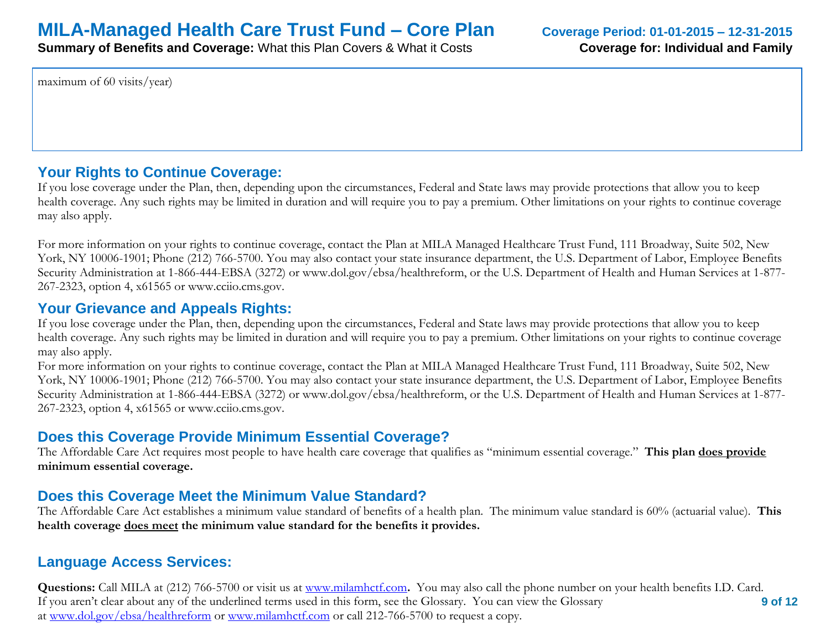**Summary of Benefits and Coverage:** What this Plan Covers & What it Costs **Coverage for: Individual and Family** 

maximum of 60 visits/year)

## **Your Rights to Continue Coverage:**

If you lose coverage under the Plan, then, depending upon the circumstances, Federal and State laws may provide protections that allow you to keep health coverage. Any such rights may be limited in duration and will require you to pay a premium. Other limitations on your rights to continue coverage may also apply.

For more information on your rights to continue coverage, contact the Plan at MILA Managed Healthcare Trust Fund, 111 Broadway, Suite 502, New York, NY 10006-1901; Phone (212) 766-5700. You may also contact your state insurance department, the U.S. Department of Labor, Employee Benefits Security Administration at 1-866-444-EBSA (3272) or www.dol.gov/ebsa/healthreform, or the U.S. Department of Health and Human Services at 1-877- 267-2323, option 4, x61565 or www.cciio.cms.gov.

## **Your Grievance and Appeals Rights:**

If you lose coverage under the Plan, then, depending upon the circumstances, Federal and State laws may provide protections that allow you to keep health coverage. Any such rights may be limited in duration and will require you to pay a premium. Other limitations on your rights to continue coverage may also apply.

For more information on your rights to continue coverage, contact the Plan at MILA Managed Healthcare Trust Fund, 111 Broadway, Suite 502, New York, NY 10006-1901; Phone (212) 766-5700. You may also contact your state insurance department, the U.S. Department of Labor, Employee Benefits Security Administration at 1-866-444-EBSA (3272) or www.dol.gov/ebsa/healthreform, or the U.S. Department of Health and Human Services at 1-877- 267-2323, option 4, x61565 or www.cciio.cms.gov.

## **Does this Coverage Provide Minimum Essential Coverage?**

The Affordable Care Act requires most people to have health care coverage that qualifies as "minimum essential coverage." **This plan does provide minimum essential coverage.** 

## **Does this Coverage Meet the Minimum Value Standard?**

The Affordable Care Act establishes a minimum value standard of benefits of a health plan. The minimum value standard is 60% (actuarial value). **This health coverage does meet the minimum value standard for the benefits it provides.** 

## **Language Access Services:**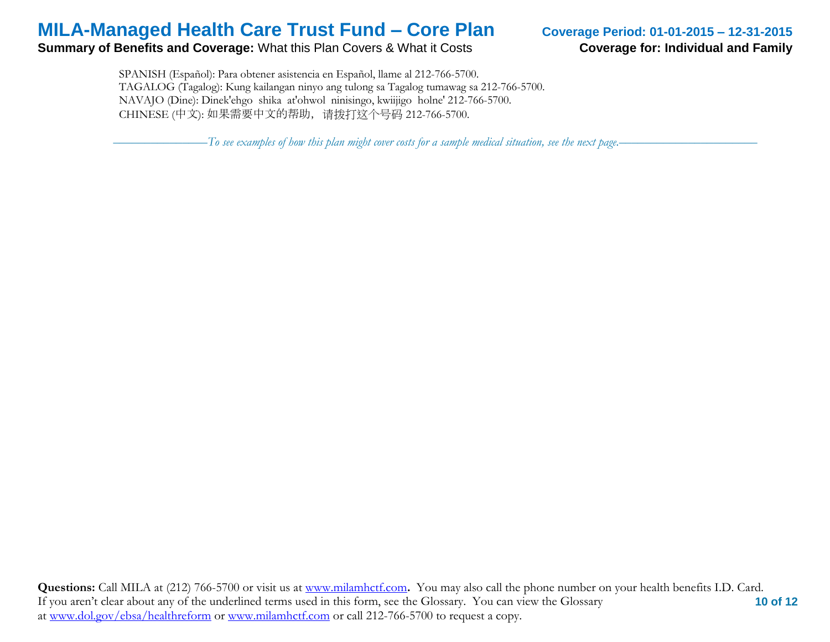### **Summary of Benefits and Coverage:** What this Plan Covers & What it Costs **Coverage for: Individual and Family**

 SPANISH (Español): Para obtener asistencia en Español, llame al 212-766-5700. TAGALOG (Tagalog): Kung kailangan ninyo ang tulong sa Tagalog tumawag sa 212-766-5700. NAVAJO (Dine): Dinek'ehgo shika at'ohwol ninisingo, kwiijigo holne' 212-766-5700. CHINESE (中文): 如果需要中文的帮助,请拨打这个号码 212-766-5700.

–––––––––––––––*To see examples of how this plan might cover costs for a sample medical situation, see the next page.–––––––––––*–––––––––––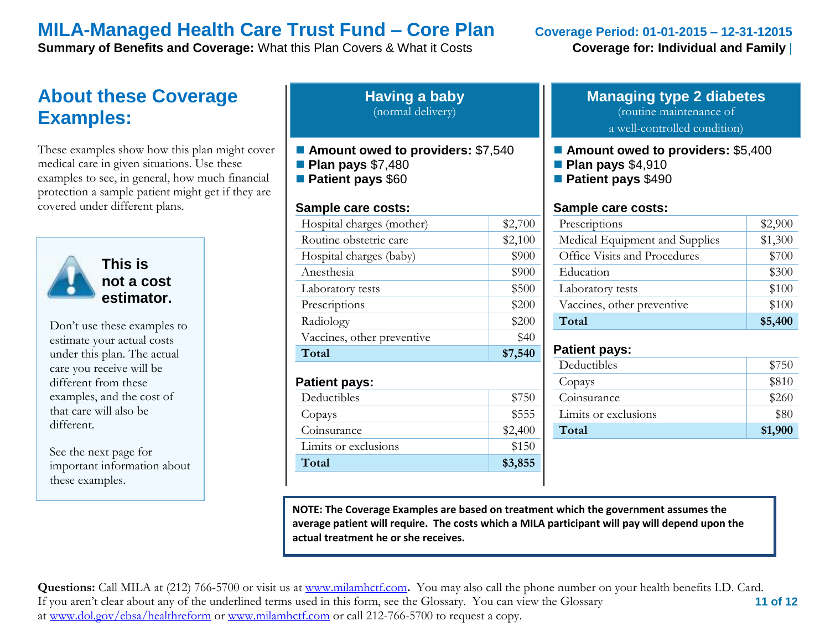**Summary of Benefits and Coverage:** What this Plan Covers & What it Costs **Coverage for: Individual and Family** 

# **About these Coverage Examples:**

These examples show how this plan might cover medical care in given situations. Use these examples to see, in general, how much financial protection a sample patient might get if they are covered under different plans.



**This is not a cost estimator.** 

Don't use these examples to estimate your actual costs under this plan. The actual care you receive will be different from these examples, and the cost of that care will also be different.

See the next page for important information about these examples.

| <b>Having a baby</b> |  |
|----------------------|--|
| (normal delivery)    |  |

- Amount owed to providers: \$7,540
- **Plan pays** \$7,480
- **Patient pays** \$60

### **Sample care costs:**

| Total                      | \$7,540 |
|----------------------------|---------|
| Vaccines, other preventive | \$40    |
| Radiology                  | \$200   |
| Prescriptions              | \$200   |
| Laboratory tests           | \$500   |
| Anesthesia                 | \$900   |
| Hospital charges (baby)    | \$900   |
| Routine obstetric care     | \$2,100 |
| Hospital charges (mother)  | \$2,700 |

### **Patient pays:**

| Deductibles          | \$750   |
|----------------------|---------|
| Copays               | \$555   |
| Coinsurance          | \$2,400 |
| Limits or exclusions | \$150   |
| Total                | \$3,855 |

## **Managing type 2 diabetes** (routine maintenance of

a well-controlled condition)

### ■ **Amount owed to providers: \$5,400**

- **Plan pays** \$4,910
- **Patient pays** \$490

### **Sample care costs:**

| Prescriptions                  | \$2,900 |
|--------------------------------|---------|
| Medical Equipment and Supplies | \$1,300 |
| Office Visits and Procedures   | \$700   |
| Education                      | \$300   |
| Laboratory tests               | \$100   |
| Vaccines, other preventive     | \$100   |
| Total                          | \$5,400 |

### **Patient pays:**

| Deductibles          | \$750   |
|----------------------|---------|
| Copays               | \$810   |
| Coinsurance          | \$260   |
| Limits or exclusions | \$80    |
| Total                | \$1,900 |
|                      |         |

**NOTE: The Coverage Examples are based on treatment which the government assumes the average patient will require. The costs which a MILA participant will pay will depend upon the actual treatment he or she receives.**